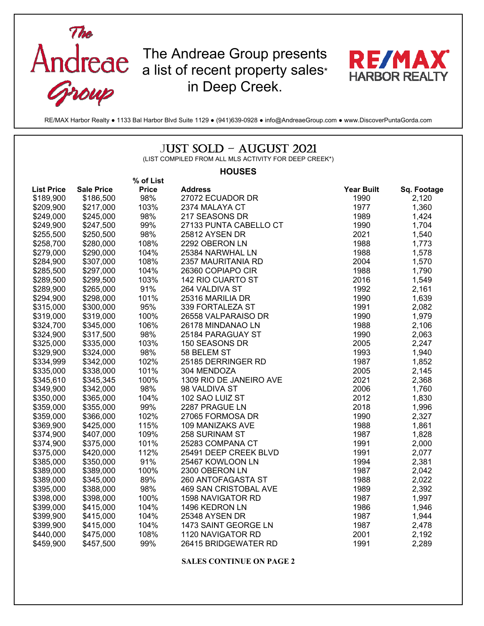

RE/MAX Harbor Realty ● 1133 Bal Harbor Blvd Suite 1129 ● (941)639-0928 ● info@AndreaeGroup.com ● www.DiscoverPuntaGorda.com

## JUST SOLD – AUGUST 2021

(LIST COMPILED FROM ALL MLS ACTIVITY FOR DEEP CREEK\*)

#### **HOUSES**

|                   |                   | % of List    |                         |                   |             |
|-------------------|-------------------|--------------|-------------------------|-------------------|-------------|
| <b>List Price</b> | <b>Sale Price</b> | <b>Price</b> | <b>Address</b>          | <b>Year Built</b> | Sq. Footage |
| \$189,900         | \$186,500         | 98%          | 27072 ECUADOR DR        | 1990              | 2,120       |
| \$209,900         | \$217,000         | 103%         | 2374 MALAYA CT          | 1977              | 1,360       |
| \$249,000         | \$245,000         | 98%          | 217 SEASONS DR          | 1989              | 1,424       |
| \$249,900         | \$247,500         | 99%          | 27133 PUNTA CABELLO CT  | 1990              | 1,704       |
| \$255,500         | \$250,500         | 98%          | 25812 AYSEN DR          | 2021              | 1,540       |
| \$258,700         | \$280,000         | 108%         | 2292 OBERON LN          | 1988              | 1,773       |
| \$279,000         | \$290,000         | 104%         | 25384 NARWHAL LN        | 1988              | 1,578       |
| \$284,900         | \$307,000         | 108%         | 2357 MAURITANIA RD      | 2004              | 1,570       |
| \$285,500         | \$297,000         | 104%         | 26360 COPIAPO CIR       | 1988              | 1,790       |
| \$289,500         | \$299,500         | 103%         | 142 RIO CUARTO ST       | 2016              | 1,549       |
| \$289,900         | \$265,000         | 91%          | 264 VALDIVA ST          | 1992              | 2,161       |
| \$294,900         | \$298,000         | 101%         | 25316 MARILIA DR        | 1990              | 1,639       |
| \$315,000         | \$300,000         | 95%          | 339 FORTALEZA ST        | 1991              | 2,082       |
| \$319,000         | \$319,000         | 100%         | 26558 VALPARAISO DR     | 1990              | 1,979       |
| \$324,700         | \$345,000         | 106%         | 26178 MINDANAO LN       | 1988              | 2,106       |
| \$324,900         | \$317,500         | 98%          | 25184 PARAGUAY ST       | 1990              | 2,063       |
| \$325,000         | \$335,000         | 103%         | 150 SEASONS DR          | 2005              | 2,247       |
| \$329,900         | \$324,000         | 98%          | 58 BELEM ST             | 1993              | 1,940       |
| \$334,999         | \$342,000         | 102%         | 25185 DERRINGER RD      | 1987              | 1,852       |
| \$335,000         | \$338,000         | 101%         | 304 MENDOZA             | 2005              | 2,145       |
| \$345,610         | \$345,345         | 100%         | 1309 RIO DE JANEIRO AVE | 2021              | 2,368       |
| \$349,900         | \$342,000         | 98%          | 98 VALDIVA ST           | 2006              | 1,760       |
| \$350,000         | \$365,000         | 104%         | 102 SAO LUIZ ST         | 2012              | 1,830       |
| \$359,000         | \$355,000         | 99%          | 2287 PRAGUE LN          | 2018              | 1,996       |
| \$359,000         | \$366,000         | 102%         | 27065 FORMOSA DR        | 1990              | 2,327       |
| \$369,900         | \$425,000         | 115%         | 109 MANIZAKS AVE        | 1988              | 1,861       |
| \$374,900         | \$407,000         | 109%         | 258 SURINAM ST          | 1987              | 1,828       |
| \$374,900         | \$375,000         | 101%         | 25283 COMPANA CT        | 1991              | 2,000       |
| \$375,000         | \$420,000         | 112%         | 25491 DEEP CREEK BLVD   | 1991              | 2,077       |
| \$385,000         | \$350,000         | 91%          | 25467 KOWLOON LN        | 1994              | 2,381       |
| \$389,000         | \$389,000         | 100%         | 2300 OBERON LN          | 1987              | 2,042       |
| \$389,000         | \$345,000         | 89%          | 260 ANTOFAGASTA ST      | 1988              | 2,022       |
| \$395,000         | \$388,000         | 98%          | 469 SAN CRISTOBAL AVE   | 1989              | 2,392       |
| \$398,000         | \$398,000         | 100%         | 1598 NAVIGATOR RD       | 1987              | 1,997       |
| \$399,000         | \$415,000         | 104%         | 1496 KEDRON LN          | 1986              | 1,946       |
| \$399,900         | \$415,000         | 104%         | 25348 AYSEN DR          | 1987              | 1,944       |
| \$399,900         | \$415,000         | 104%         | 1473 SAINT GEORGE LN    | 1987              | 2,478       |
| \$440,000         | \$475,000         | 108%         | 1120 NAVIGATOR RD       | 2001              | 2,192       |
| \$459,900         | \$457,500         | 99%          | 26415 BRIDGEWATER RD    | 1991              | 2,289       |

**SALES CONTINUE ON PAGE 2**